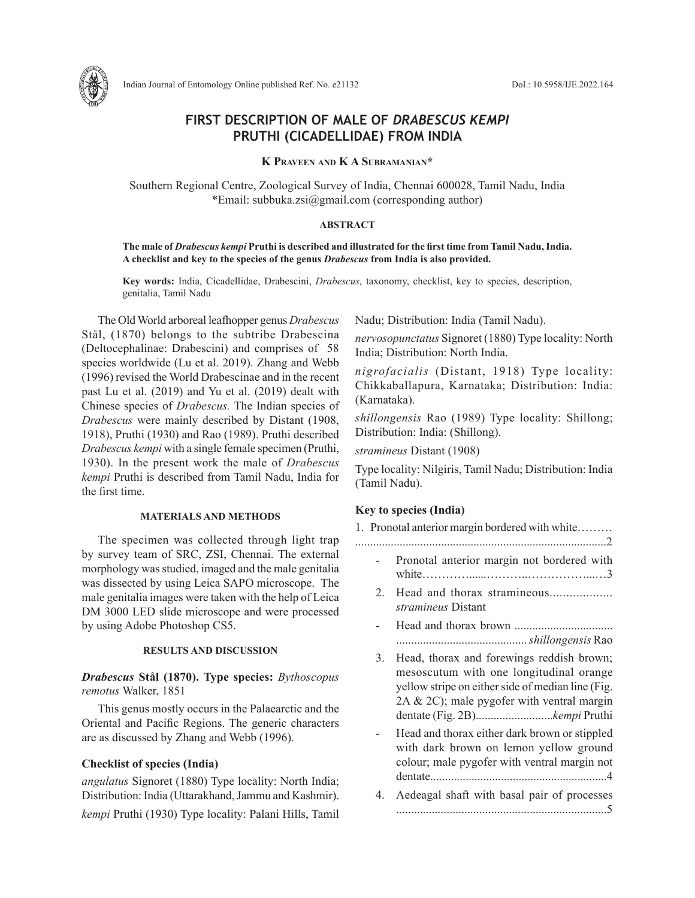

# **FIRST DESCRIPTION OF MALE OF** *DRABESCUS KEMPI* **PRUTHI (CICADELLIDAE) FROM INDIA**

**K Praveen and K A Subramanian\***

Southern Regional Centre, Zoological Survey of India, Chennai 600028, Tamil Nadu, India \*Email: subbuka.zsi@gmail.com (corresponding author)

### **ABSTRACT**

### **The male of** *Drabescus kempi* **Pruthi is described and illustrated for the first time from Tamil Nadu, India. A checklist and key to the species of the genus** *Drabescus* **from India is also provided.**

**Key words:** India, Cicadellidae, Drabescini, *Drabescus*, taxonomy, checklist, key to species, description, genitalia, Tamil Nadu

The Old World arboreal leafhopper genus *Drabescus* Stål, (1870) belongs to the subtribe Drabescina (Deltocephalinae: Drabescini) and comprises of 58 species worldwide (Lu et al. 2019). Zhang and Webb (1996) revised the World Drabescinae and in the recent past Lu et al. (2019) and Yu et al. (2019) dealt with Chinese species of *Drabescus.* The Indian species of *Drabescus* were mainly described by Distant (1908, 1918), Pruthi (1930) and Rao (1989). Pruthi described *Drabescus kempi* with a single female specimen (Pruthi, 1930). In the present work the male of *Drabescus kempi* Pruthi is described from Tamil Nadu, India for the first time.

### **MATERIALS AND METHODS**

The specimen was collected through light trap by survey team of SRC, ZSI, Chennai. The external morphology was studied, imaged and the male genitalia was dissected by using Leica SAPO microscope. The male genitalia images were taken with the help of Leica DM 3000 LED slide microscope and were processed by using Adobe Photoshop CS5.

### **RESULTS AND DISCUSSION**

*Drabescus* **Stål (1870). Type species:** *Bythoscopus remotus* Walker, 1851

This genus mostly occurs in the Palaearctic and the Oriental and Pacific Regions. The generic characters are as discussed by Zhang and Webb (1996).

### **Checklist of species (India)**

*angulatus* Signoret (1880) Type locality: North India; Distribution: India (Uttarakhand, Jammu and Kashmir). *kempi* Pruthi (1930) Type locality: Palani Hills, Tamil Nadu; Distribution: India (Tamil Nadu).

*nervosopunctatus* Signoret (1880) Type locality: North India; Distribution: North India.

*nigrofacialis* (Distant, 1918) Type locality: Chikkaballapura, Karnataka; Distribution: India: (Karnataka).

*shillongensis* Rao (1989) Type locality: Shillong; Distribution: India: (Shillong).

*stramineus* Distant (1908)

Type locality: Nilgiris, Tamil Nadu; Distribution: India (Tamil Nadu).

### **Key to species (India)**

| 1. Pronotal anterior margin bordered with white |                                                                                                                                                                                           |
|-------------------------------------------------|-------------------------------------------------------------------------------------------------------------------------------------------------------------------------------------------|
|                                                 |                                                                                                                                                                                           |
|                                                 | Pronotal anterior margin not bordered with                                                                                                                                                |
| 2.                                              | <i>stramineus</i> Distant                                                                                                                                                                 |
|                                                 |                                                                                                                                                                                           |
| 3.                                              | Head, thorax and forewings reddish brown;<br>mesoscutum with one longitudinal orange<br>yellow stripe on either side of median line (Fig.<br>2A $& 2C$ ; male pygofer with ventral margin |
|                                                 | Head and thorax either dark brown or stippled<br>with dark brown on lemon yellow ground<br>colour; male pygofer with ventral margin not                                                   |

4. Aedeagal shaft with basal pair of processes .......................................................................5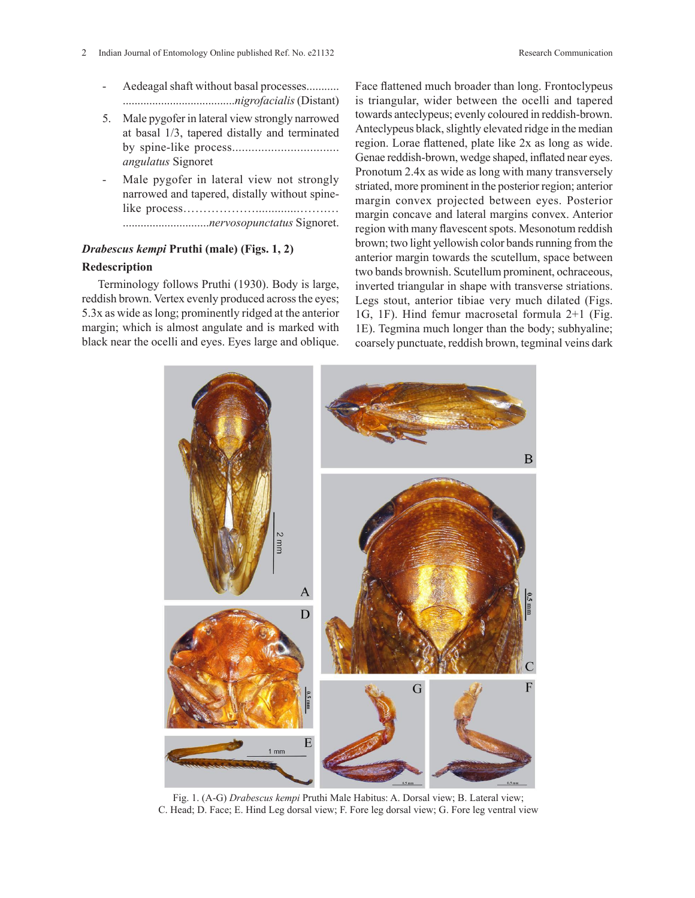- Aedeagal shaft without basal processes........... ......................................*nigrofacialis* (Distant)
- 5. Male pygofer in lateral view strongly narrowed at basal 1/3, tapered distally and terminated by spine-like process................................. *angulatus* Signoret
- Male pygofer in lateral view not strongly narrowed and tapered, distally without spinelike process………………..............…….… .............................*nervosopunctatus* Signoret.

## *Drabescus kempi* **Pruthi (male) (Figs. 1, 2) Redescription**

Terminology follows Pruthi (1930). Body is large, reddish brown. Vertex evenly produced across the eyes; 5.3x as wide as long; prominently ridged at the anterior margin; which is almost angulate and is marked with black near the ocelli and eyes. Eyes large and oblique. Face flattened much broader than long. Frontoclypeus is triangular, wider between the ocelli and tapered towards anteclypeus; evenly coloured in reddish-brown. Anteclypeus black, slightly elevated ridge in the median region. Lorae flattened, plate like 2x as long as wide. Genae reddish-brown, wedge shaped, inflated near eyes. Pronotum 2.4x as wide as long with many transversely striated, more prominent in the posterior region; anterior margin convex projected between eyes. Posterior margin concave and lateral margins convex. Anterior region with many flavescent spots. Mesonotum reddish brown; two light yellowish color bands running from the anterior margin towards the scutellum, space between two bands brownish. Scutellum prominent, ochraceous, inverted triangular in shape with transverse striations. Legs stout, anterior tibiae very much dilated (Figs. 1G, 1F). Hind femur macrosetal formula 2+1 (Fig. 1E). Tegmina much longer than the body; subhyaline; coarsely punctuate, reddish brown, tegminal veins dark



Fig. 1. (A-G) *Drabescus kempi* Pruthi Male Habitus: A. Dorsal view; B. Lateral view; C. Head; D. Face; E. Hind Leg dorsal view; F. Fore leg dorsal view; G. Fore leg ventral view